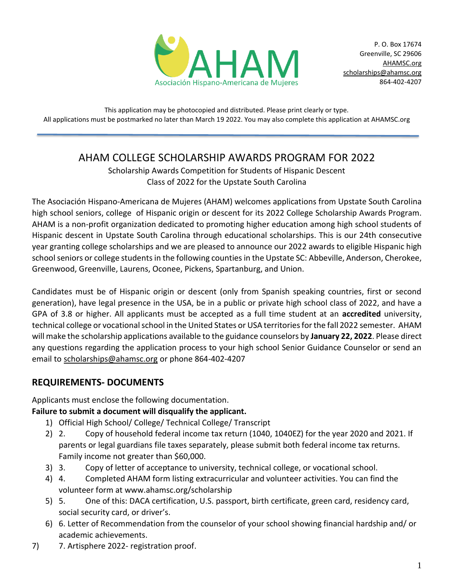

This application may be photocopied and distributed. Please print clearly or type. All applications must be postmarked no later than March 19 2022. You may also complete this application at AHAMSC.org

# AHAM COLLEGE SCHOLARSHIP AWARDS PROGRAM FOR 2022

Scholarship Awards Competition for Students of Hispanic Descent Class of 2022 for the Upstate South Carolina

The Asociación Hispano-Americana de Mujeres (AHAM) welcomes applications from Upstate South Carolina high school seniors, college of Hispanic origin or descent for its 2022 College Scholarship Awards Program. AHAM is a non-profit organization dedicated to promoting higher education among high school students of Hispanic descent in Upstate South Carolina through educational scholarships. This is our 24th consecutive year granting college scholarships and we are pleased to announce our 2022 awards to eligible Hispanic high school seniors or college students in the following counties in the Upstate SC: Abbeville, Anderson, Cherokee, Greenwood, Greenville, Laurens, Oconee, Pickens, Spartanburg, and Union.

Candidates must be of Hispanic origin or descent (only from Spanish speaking countries, first or second generation), have legal presence in the USA, be in a public or private high school class of 2022, and have a GPA of 3.8 or higher. All applicants must be accepted as a full time student at an **accredited** university, technical college or vocational school in the United States or USA territories for the fall 2022 semester. AHAM will make the scholarship applications available to the guidance counselors by **January 22, 2022**. Please direct any questions regarding the application process to your high school Senior Guidance Counselor or send an email to [scholarships@ahamsc.org](mailto:scholarships@ahamsc.org) or phone 864-402-4207

## **REQUIREMENTS- DOCUMENTS**

Applicants must enclose the following documentation.

### **Failure to submit a document will disqualify the applicant.**

- 1) Official High School/ College/ Technical College/ Transcript
- 2) 2. Copy of household federal income tax return (1040, 1040EZ) for the year 2020 and 2021. If parents or legal guardians file taxes separately, please submit both federal income tax returns. Family income not greater than \$60,000.
- 3) 3. Copy of letter of acceptance to university, technical college, or vocational school.
- 4) 4. Completed AHAM form listing extracurricular and volunteer activities. You can find the volunteer form at www.ahamsc.org/scholarship
- 5) 5. One of this: DACA certification, U.S. passport, birth certificate, green card, residency card, social security card, or driver's.
- 6) 6. Letter of Recommendation from the counselor of your school showing financial hardship and/ or academic achievements.
- 7) 7. Artisphere 2022- registration proof.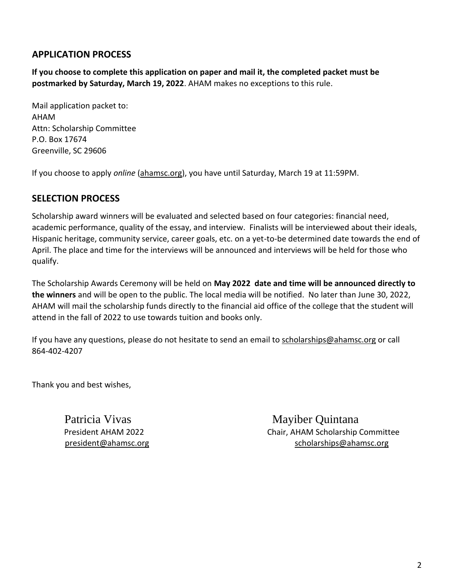## **APPLICATION PROCESS**

**If you choose to complete this application on paper and mail it, the completed packet must be postmarked by Saturday, March 19, 2022**. AHAM makes no exceptions to this rule.

Mail application packet to: AHAM Attn: Scholarship Committee P.O. Box 17674 Greenville, SC 29606

If you choose to apply *online* [\(ahamsc.org\)](http://../AppData/Local/Packages/microsoft.windowscommunicationsapps_8wekyb3d8bbwe/LocalState/Files/S0/548/ahamsc.org), you have until Saturday, March 19 at 11:59PM.

## **SELECTION PROCESS**

Scholarship award winners will be evaluated and selected based on four categories: financial need, academic performance, quality of the essay, and interview. Finalists will be interviewed about their ideals, Hispanic heritage, community service, career goals, etc. on a yet-to-be determined date towards the end of April. The place and time for the interviews will be announced and interviews will be held for those who qualify.

The Scholarship Awards Ceremony will be held on **May 2022 date and time will be announced directly to the winners** and will be open to the public. The local media will be notified. No later than June 30, 2022, AHAM will mail the scholarship funds directly to the financial aid office of the college that the student will attend in the fall of 2022 to use towards tuition and books only.

If you have any questions, please do not hesitate to send an email to [scholarships@ahamsc.org](mailto:scholarships@ahamsc.org) or call 864-402-4207

Thank you and best wishes,

Patricia Vivas Mayiber Ouintana President AHAM 2022 Chair, AHAM Scholarship Committee [president@ahamsc.org](mailto:president@ahamsc.org) [scholarships@ahamsc.org](mailto:scholarships@ahamsc.org)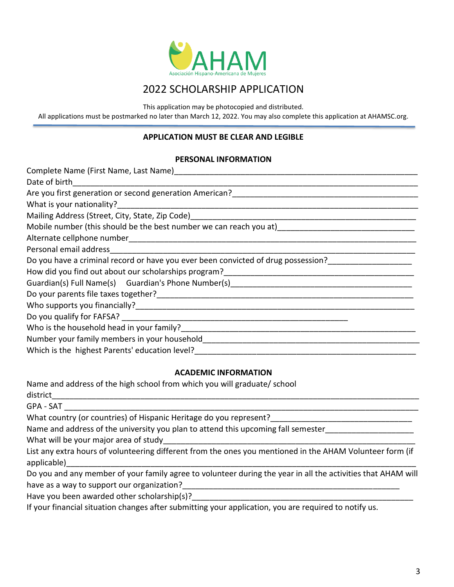

## 2022 SCHOLARSHIP APPLICATION

This application may be photocopied and distributed.

All applications must be postmarked no later than March 12, 2022. You may also complete this application at AHAMSC.org.

#### **APPLICATION MUST BE CLEAR AND LEGIBLE**

#### **PERSONAL INFORMATION**

| Complete Name (First Name, Last Name)                                                                                      |  |  |  |  |  |
|----------------------------------------------------------------------------------------------------------------------------|--|--|--|--|--|
| Date of birth                                                                                                              |  |  |  |  |  |
|                                                                                                                            |  |  |  |  |  |
|                                                                                                                            |  |  |  |  |  |
|                                                                                                                            |  |  |  |  |  |
|                                                                                                                            |  |  |  |  |  |
|                                                                                                                            |  |  |  |  |  |
|                                                                                                                            |  |  |  |  |  |
| Do you have a criminal record or have you ever been convicted of drug possession?                                          |  |  |  |  |  |
|                                                                                                                            |  |  |  |  |  |
| Guardian(s) Full Name(s) Guardian's Phone Number(s) [19] [2012] [2013] Guardian(s) Full Name(s) Guardian's Phone Number(s) |  |  |  |  |  |
|                                                                                                                            |  |  |  |  |  |
|                                                                                                                            |  |  |  |  |  |
|                                                                                                                            |  |  |  |  |  |
| Who is the household head in your family?                                                                                  |  |  |  |  |  |
| Number your family members in your household                                                                               |  |  |  |  |  |
| Which is the highest Parents' education level?                                                                             |  |  |  |  |  |

#### **ACADEMIC INFORMATION**

Name and address of the high school from which you will graduate/ school

 $distlict$ GPA - SAT \_\_\_\_\_\_\_\_\_\_\_\_\_\_\_\_\_\_\_\_\_\_\_\_\_\_\_\_\_\_\_\_\_\_\_\_\_\_\_\_\_\_\_\_\_\_\_\_\_\_\_\_\_\_\_\_\_\_\_\_\_\_\_\_\_\_\_\_\_\_\_\_\_\_\_\_\_\_\_\_ What country (or countries) of Hispanic Heritage do you represent? Name and address of the university you plan to attend this upcoming fall semester\_\_\_\_\_\_\_\_\_\_\_\_\_\_\_\_\_\_\_\_\_\_\_\_\_\_\_\_\_ What will be your major area of study List any extra hours of volunteering different from the ones you mentioned in the AHAM Volunteer form (if applicable)\_\_\_\_\_\_\_\_\_\_\_\_\_\_\_\_\_\_\_\_\_\_\_\_\_\_\_\_\_\_\_\_\_\_\_\_\_\_\_\_\_\_\_\_\_\_\_\_\_\_\_\_\_\_\_\_\_\_\_\_\_\_\_\_\_\_\_\_\_\_\_\_\_\_\_\_\_\_\_ Do you and any member of your family agree to volunteer during the year in all the activities that AHAM will have as a way to support our organization? Have you been awarded other scholarship(s)? If your financial situation changes after submitting your application, you are required to notify us.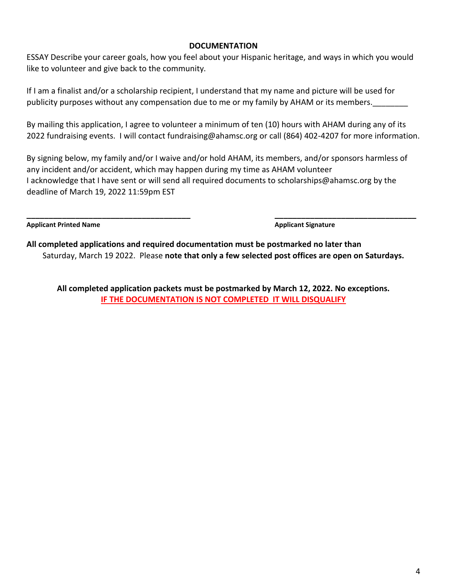#### **DOCUMENTATION**

ESSAY Describe your career goals, how you feel about your Hispanic heritage, and ways in which you would like to volunteer and give back to the community.

If I am a finalist and/or a scholarship recipient, I understand that my name and picture will be used for publicity purposes without any compensation due to me or my family by AHAM or its members.

By mailing this application, I agree to volunteer a minimum of ten (10) hours with AHAM during any of its 2022 fundraising events. I will contact fundraising@ahamsc.org or call (864) 402-4207 for more information.

By signing below, my family and/or I waive and/or hold AHAM, its members, and/or sponsors harmless of any incident and/or accident, which may happen during my time as AHAM volunteer I acknowledge that I have sent or will send all required documents to scholarships@ahamsc.org by the deadline of March 19, 2022 11:59pm EST

Applicant Printed Name **Applicant Signature** 

**All completed applications and required documentation must be postmarked no later than** Saturday, March 19 2022. Please **note that only a few selected post offices are open on Saturdays.**

**\_\_\_\_\_\_\_\_\_\_\_\_\_\_\_\_\_\_\_\_\_\_\_\_\_\_\_\_\_\_\_\_\_\_\_\_\_ \_\_\_\_\_\_\_\_\_\_\_\_\_\_\_\_\_\_\_\_\_\_\_\_\_\_\_\_\_\_\_\_**

**All completed application packets must be postmarked by March 12, 2022. No exceptions. IF THE DOCUMENTATION IS NOT COMPLETED IT WILL DISQUALIFY**